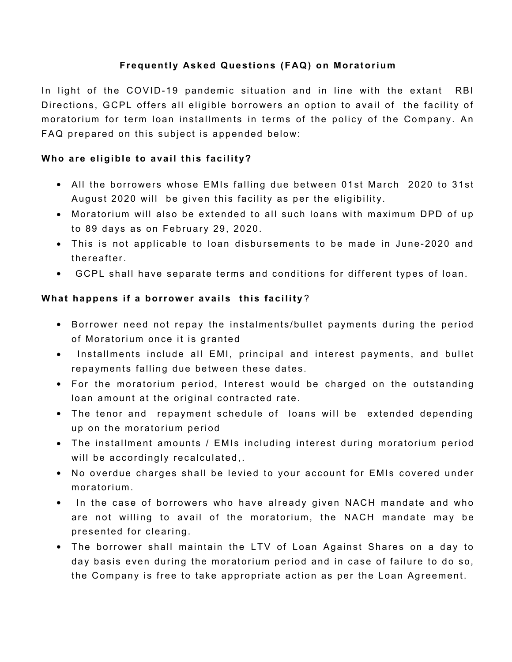# **Frequently Asked Questions (FAQ) on Moratorium**

In light of the COVID-19 pandemic situation and in line with the extant RBI Directions, GCPL offers all eligible borrowers an option to avail of the facility of moratorium for term loan installments in terms of the policy of the Company. An FAQ prepared on this subject is appended below:

# **Who are eligible to avail this facility?**

- All the borrowers whose EMIs falling due between 01st March 2020 to 31st August 2020 will be given this facility as per the eligibility.
- Moratorium will also be extended to all such loans with maximum DPD of up to 89 days as on February 29, 2020.
- This is not applicable to loan disbursements to be made in June-2020 and thereafter.
- GCPL shall have separate terms and conditions for different types of loan.

## What happens if a borrower avails this facility?

- Borrower need not repay the instalments/bullet payments during the period of Moratorium once it is granted
- Installments include all EMI, principal and interest payments, and bullet repayments falling due between these dates.
- For the moratorium period, Interest would be charged on the outstanding loan amount at the original contracted rate.
- The tenor and repayment schedule of loans will be extended depending up on the moratorium period
- The installment amounts / EMIs including interest during moratorium period will be accordingly recalculated,.
- No overdue charges shall be levied to your account for EMIs covered under moratorium.
- In the case of borrowers who have already given NACH mandate and who are not willing to avail of the moratorium, the NACH mandate may be presented for clearing.
- The borrower shall maintain the LTV of Loan Against Shares on a day to day basis even during the moratorium period and in case of failure to do so, the Company is free to take appropriate action as per the Loan Agreement.